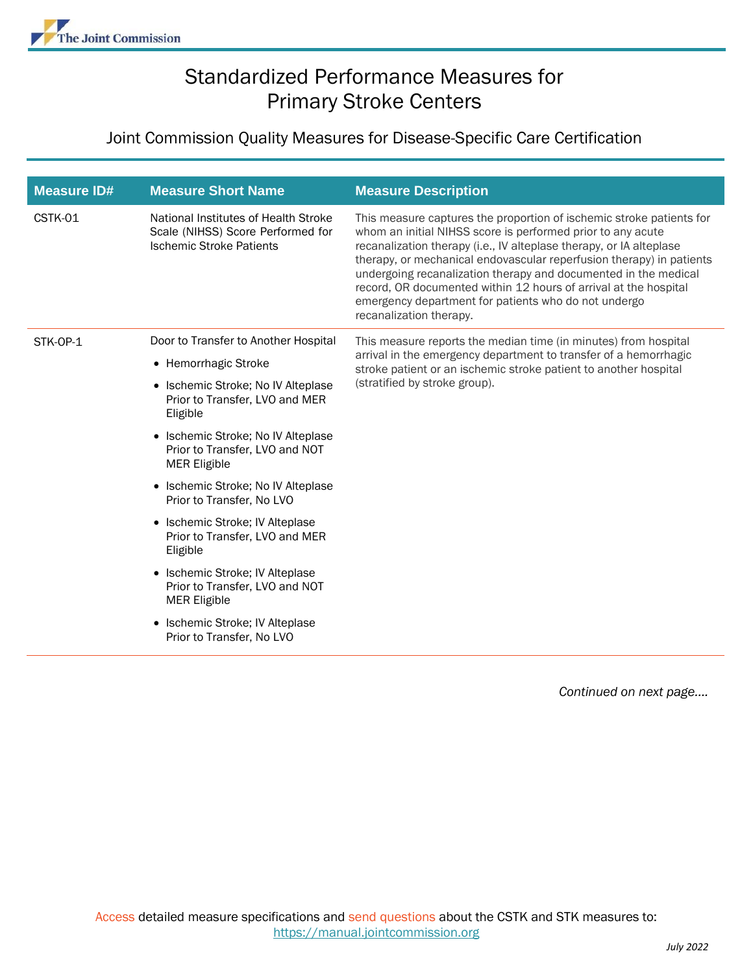## Standardized Performance Measures for Primary Stroke Centers

## Joint Commission Quality Measures for Disease-Specific Care Certification

| <b>Measure ID#</b> | <b>Measure Short Name</b>                                                                                    | <b>Measure Description</b>                                                                                                                                                                                                                                                                                                                                                                                                                                                                                   |
|--------------------|--------------------------------------------------------------------------------------------------------------|--------------------------------------------------------------------------------------------------------------------------------------------------------------------------------------------------------------------------------------------------------------------------------------------------------------------------------------------------------------------------------------------------------------------------------------------------------------------------------------------------------------|
| CSTK-01            | National Institutes of Health Stroke<br>Scale (NIHSS) Score Performed for<br><b>Ischemic Stroke Patients</b> | This measure captures the proportion of ischemic stroke patients for<br>whom an initial NIHSS score is performed prior to any acute<br>recanalization therapy (i.e., IV alteplase therapy, or IA alteplase<br>therapy, or mechanical endovascular reperfusion therapy) in patients<br>undergoing recanalization therapy and documented in the medical<br>record, OR documented within 12 hours of arrival at the hospital<br>emergency department for patients who do not undergo<br>recanalization therapy. |
| STK-OP-1           | Door to Transfer to Another Hospital                                                                         | This measure reports the median time (in minutes) from hospital<br>arrival in the emergency department to transfer of a hemorrhagic<br>stroke patient or an ischemic stroke patient to another hospital<br>(stratified by stroke group).                                                                                                                                                                                                                                                                     |
|                    | • Hemorrhagic Stroke                                                                                         |                                                                                                                                                                                                                                                                                                                                                                                                                                                                                                              |
|                    | • Ischemic Stroke; No IV Alteplase<br>Prior to Transfer, LVO and MER<br>Eligible                             |                                                                                                                                                                                                                                                                                                                                                                                                                                                                                                              |
|                    | • Ischemic Stroke; No IV Alteplase<br>Prior to Transfer, LVO and NOT<br><b>MER Eligible</b>                  |                                                                                                                                                                                                                                                                                                                                                                                                                                                                                                              |
|                    | • Ischemic Stroke; No IV Alteplase<br>Prior to Transfer, No LVO                                              |                                                                                                                                                                                                                                                                                                                                                                                                                                                                                                              |
|                    | • Ischemic Stroke; IV Alteplase<br>Prior to Transfer, LVO and MER<br>Eligible                                |                                                                                                                                                                                                                                                                                                                                                                                                                                                                                                              |
|                    | • Ischemic Stroke; IV Alteplase<br>Prior to Transfer, LVO and NOT<br><b>MER Eligible</b>                     |                                                                                                                                                                                                                                                                                                                                                                                                                                                                                                              |
|                    | Ischemic Stroke; IV Alteplase<br>$\bullet$<br>Prior to Transfer, No LVO                                      |                                                                                                                                                                                                                                                                                                                                                                                                                                                                                                              |

*Continued on next page….*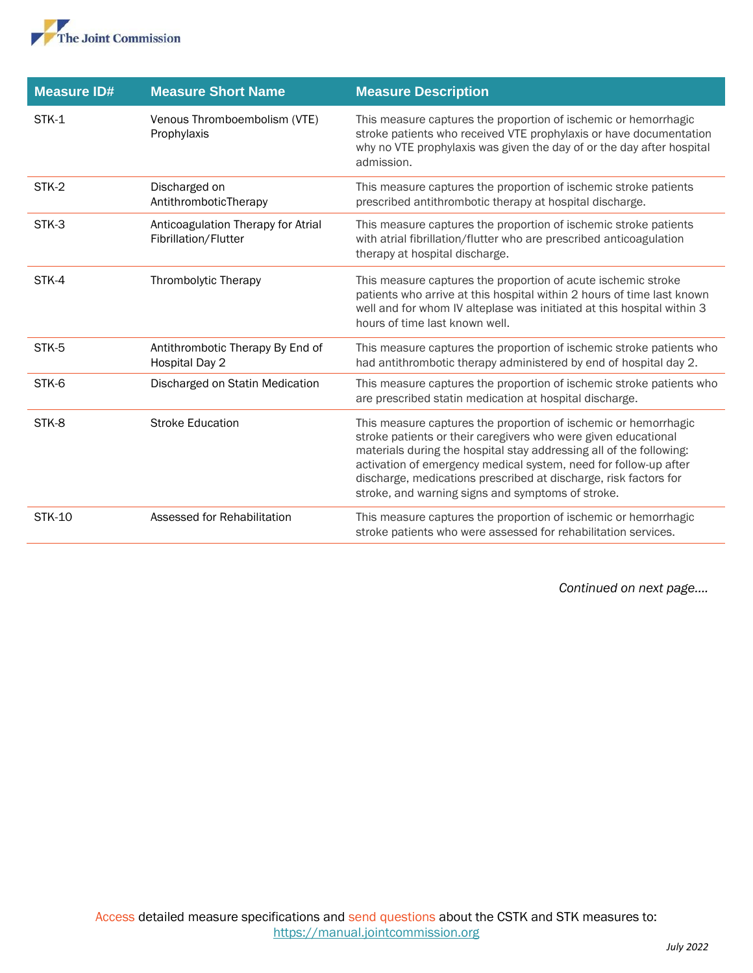

| <b>Measure ID#</b> | <b>Measure Short Name</b>                                  | <b>Measure Description</b>                                                                                                                                                                                                                                                                                                                                                                            |
|--------------------|------------------------------------------------------------|-------------------------------------------------------------------------------------------------------------------------------------------------------------------------------------------------------------------------------------------------------------------------------------------------------------------------------------------------------------------------------------------------------|
| STK-1              | Venous Thromboembolism (VTE)<br>Prophylaxis                | This measure captures the proportion of ischemic or hemorrhagic<br>stroke patients who received VTE prophylaxis or have documentation<br>why no VTE prophylaxis was given the day of or the day after hospital<br>admission.                                                                                                                                                                          |
| STK-2              | Discharged on<br>AntithromboticTherapy                     | This measure captures the proportion of ischemic stroke patients<br>prescribed antithrombotic therapy at hospital discharge.                                                                                                                                                                                                                                                                          |
| STK-3              | Anticoagulation Therapy for Atrial<br>Fibrillation/Flutter | This measure captures the proportion of ischemic stroke patients<br>with atrial fibrillation/flutter who are prescribed anticoagulation<br>therapy at hospital discharge.                                                                                                                                                                                                                             |
| STK-4              | Thrombolytic Therapy                                       | This measure captures the proportion of acute ischemic stroke<br>patients who arrive at this hospital within 2 hours of time last known<br>well and for whom IV alteplase was initiated at this hospital within 3<br>hours of time last known well.                                                                                                                                                   |
| STK-5              | Antithrombotic Therapy By End of<br><b>Hospital Day 2</b>  | This measure captures the proportion of ischemic stroke patients who<br>had antithrombotic therapy administered by end of hospital day 2.                                                                                                                                                                                                                                                             |
| STK-6              | Discharged on Statin Medication                            | This measure captures the proportion of ischemic stroke patients who<br>are prescribed statin medication at hospital discharge.                                                                                                                                                                                                                                                                       |
| STK-8              | <b>Stroke Education</b>                                    | This measure captures the proportion of ischemic or hemorrhagic<br>stroke patients or their caregivers who were given educational<br>materials during the hospital stay addressing all of the following:<br>activation of emergency medical system, need for follow-up after<br>discharge, medications prescribed at discharge, risk factors for<br>stroke, and warning signs and symptoms of stroke. |
| <b>STK-10</b>      | Assessed for Rehabilitation                                | This measure captures the proportion of ischemic or hemorrhagic<br>stroke patients who were assessed for rehabilitation services.                                                                                                                                                                                                                                                                     |

*Continued on next page….*